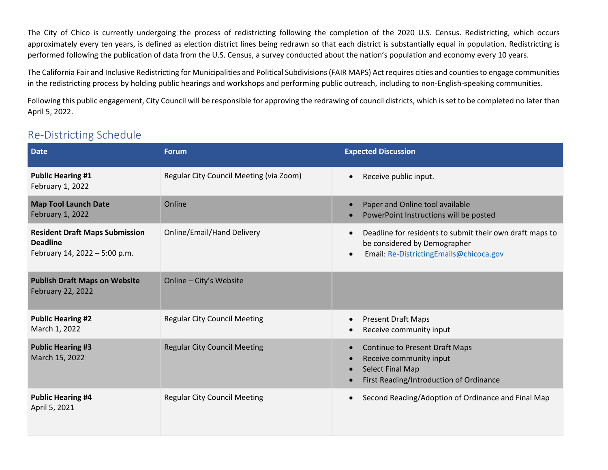The City of Chico is currently undergoing the process of redistricting following the completion of the 2020 U.S. Census. Redistricting, which occurs approximately every ten years, is defined as election district lines being redrawn so that each district is substantially equal in population. Redistricting is performed following the publication of data from the U.S. Census, a survey conducted about the nation's population and economy every 10 years.

The California Fair and Inclusive Redistricting for Municipalities and Political Subdivisions (FAIR MAPS) Act requires cities and counties to engage communities in the redistricting process by holding public hearings and workshops and performing public outreach, including to non-English-speaking communities.

Following this public engagement, City Council will be responsible for approving the redrawing of council districts, which is set to be completed no later than April 5, 2022.

# Re-Districting Schedule

| <b>Date</b>                                                                               | <b>Forum</b>                            | <b>Expected Discussion</b>                                                                                                                                    |
|-------------------------------------------------------------------------------------------|-----------------------------------------|---------------------------------------------------------------------------------------------------------------------------------------------------------------|
| <b>Public Hearing #1</b><br>February 1, 2022                                              | Regular City Council Meeting (via Zoom) | Receive public input.<br>$\bullet$                                                                                                                            |
| <b>Map Tool Launch Date</b><br>February 1, 2022                                           | Online                                  | Paper and Online tool available<br>PowerPoint Instructions will be posted                                                                                     |
| <b>Resident Draft Maps Submission</b><br><b>Deadline</b><br>February 14, 2022 - 5:00 p.m. | <b>Online/Email/Hand Delivery</b>       | Deadline for residents to submit their own draft maps to<br>$\bullet$<br>be considered by Demographer<br>Email: Re-DistrictingEmails@chicoca.gov<br>$\bullet$ |
| <b>Publish Draft Maps on Website</b><br>February 22, 2022                                 | Online - City's Website                 |                                                                                                                                                               |
| <b>Public Hearing #2</b><br>March 1, 2022                                                 | <b>Regular City Council Meeting</b>     | <b>Present Draft Maps</b><br>Receive community input                                                                                                          |
| <b>Public Hearing #3</b><br>March 15, 2022                                                | <b>Regular City Council Meeting</b>     | <b>Continue to Present Draft Maps</b><br>$\bullet$<br>Receive community input<br><b>Select Final Map</b><br>First Reading/Introduction of Ordinance           |
| <b>Public Hearing #4</b><br>April 5, 2021                                                 | <b>Regular City Council Meeting</b>     | Second Reading/Adoption of Ordinance and Final Map<br>$\bullet$                                                                                               |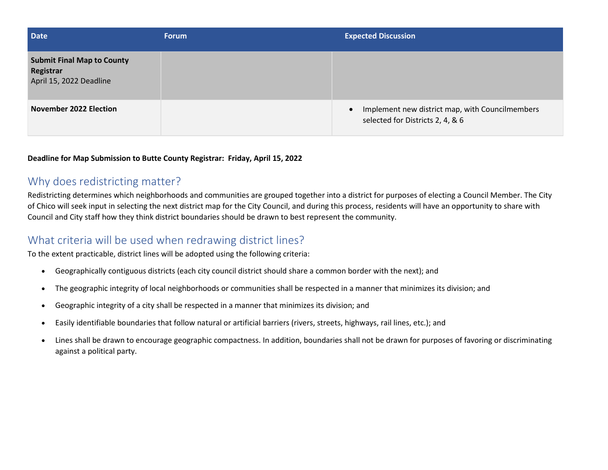| <b>Date</b>                                                               | <b>Forum</b> | <b>Expected Discussion</b>                                                          |
|---------------------------------------------------------------------------|--------------|-------------------------------------------------------------------------------------|
| <b>Submit Final Map to County</b><br>Registrar<br>April 15, 2022 Deadline |              |                                                                                     |
| <b>November 2022 Election</b>                                             |              | Implement new district map, with Councilmembers<br>selected for Districts 2, 4, & 6 |

#### **Deadline for Map Submission to Butte County Registrar: Friday, April 15, 2022**

### Why does redistricting matter?

Redistricting determines which neighborhoods and communities are grouped together into a district for purposes of electing a Council Member. The City of Chico will seek input in selecting the next district map for the City Council, and during this process, residents will have an opportunity to share with Council and City staff how they think district boundaries should be drawn to best represent the community.

# What criteria will be used when redrawing district lines?

To the extent practicable, district lines will be adopted using the following criteria:

- Geographically contiguous districts (each city council district should share a common border with the next); and
- The geographic integrity of local neighborhoods or communities shall be respected in a manner that minimizes its division; and
- Geographic integrity of a city shall be respected in a manner that minimizes its division; and
- Easily identifiable boundaries that follow natural or artificial barriers (rivers, streets, highways, rail lines, etc.); and
- Lines shall be drawn to encourage geographic compactness. In addition, boundaries shall not be drawn for purposes of favoring or discriminating against a political party.